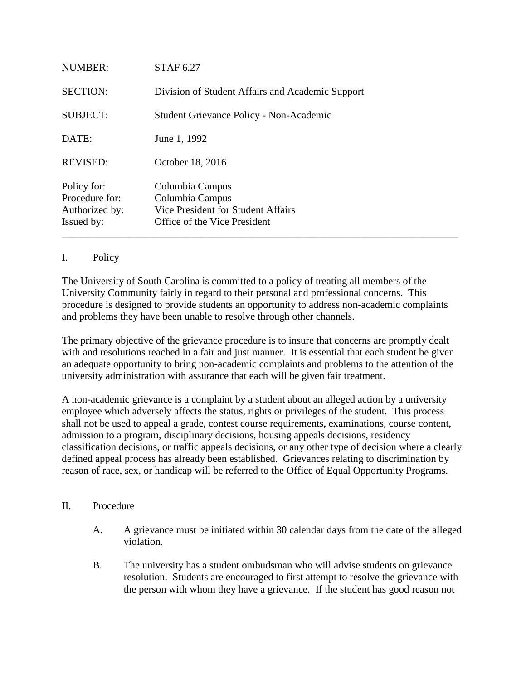| NUMBER:                                                       | <b>STAF 6.27</b>                                                                                         |
|---------------------------------------------------------------|----------------------------------------------------------------------------------------------------------|
| <b>SECTION:</b>                                               | Division of Student Affairs and Academic Support                                                         |
| <b>SUBJECT:</b>                                               | Student Grievance Policy - Non-Academic                                                                  |
| DATE:                                                         | June 1, 1992                                                                                             |
| <b>REVISED:</b>                                               | October 18, 2016                                                                                         |
| Policy for:<br>Procedure for:<br>Authorized by:<br>Issued by: | Columbia Campus<br>Columbia Campus<br>Vice President for Student Affairs<br>Office of the Vice President |

## I. Policy

The University of South Carolina is committed to a policy of treating all members of the University Community fairly in regard to their personal and professional concerns. This procedure is designed to provide students an opportunity to address non-academic complaints and problems they have been unable to resolve through other channels.

The primary objective of the grievance procedure is to insure that concerns are promptly dealt with and resolutions reached in a fair and just manner. It is essential that each student be given an adequate opportunity to bring non-academic complaints and problems to the attention of the university administration with assurance that each will be given fair treatment.

A non-academic grievance is a complaint by a student about an alleged action by a university employee which adversely affects the status, rights or privileges of the student. This process shall not be used to appeal a grade, contest course requirements, examinations, course content, admission to a program, disciplinary decisions, housing appeals decisions, residency classification decisions, or traffic appeals decisions, or any other type of decision where a clearly defined appeal process has already been established. Grievances relating to discrimination by reason of race, sex, or handicap will be referred to the Office of Equal Opportunity Programs.

## II. Procedure

- A. A grievance must be initiated within 30 calendar days from the date of the alleged violation.
- B. The university has a student ombudsman who will advise students on grievance resolution. Students are encouraged to first attempt to resolve the grievance with the person with whom they have a grievance. If the student has good reason not